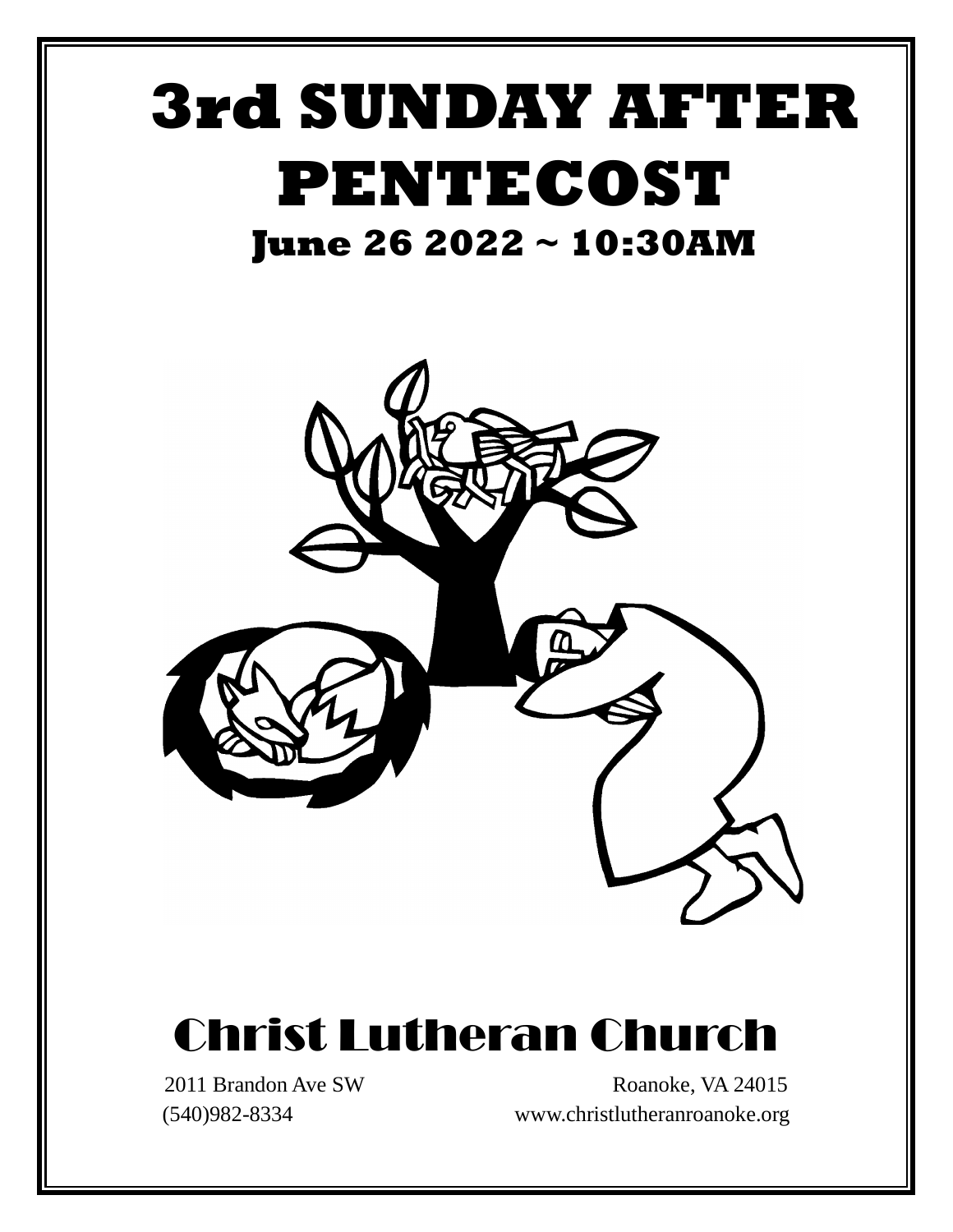

# Christ Lutheran Church

2011 Brandon Ave SW Roanoke, VA 24015 (540)982-8334 www.christlutheranroanoke.org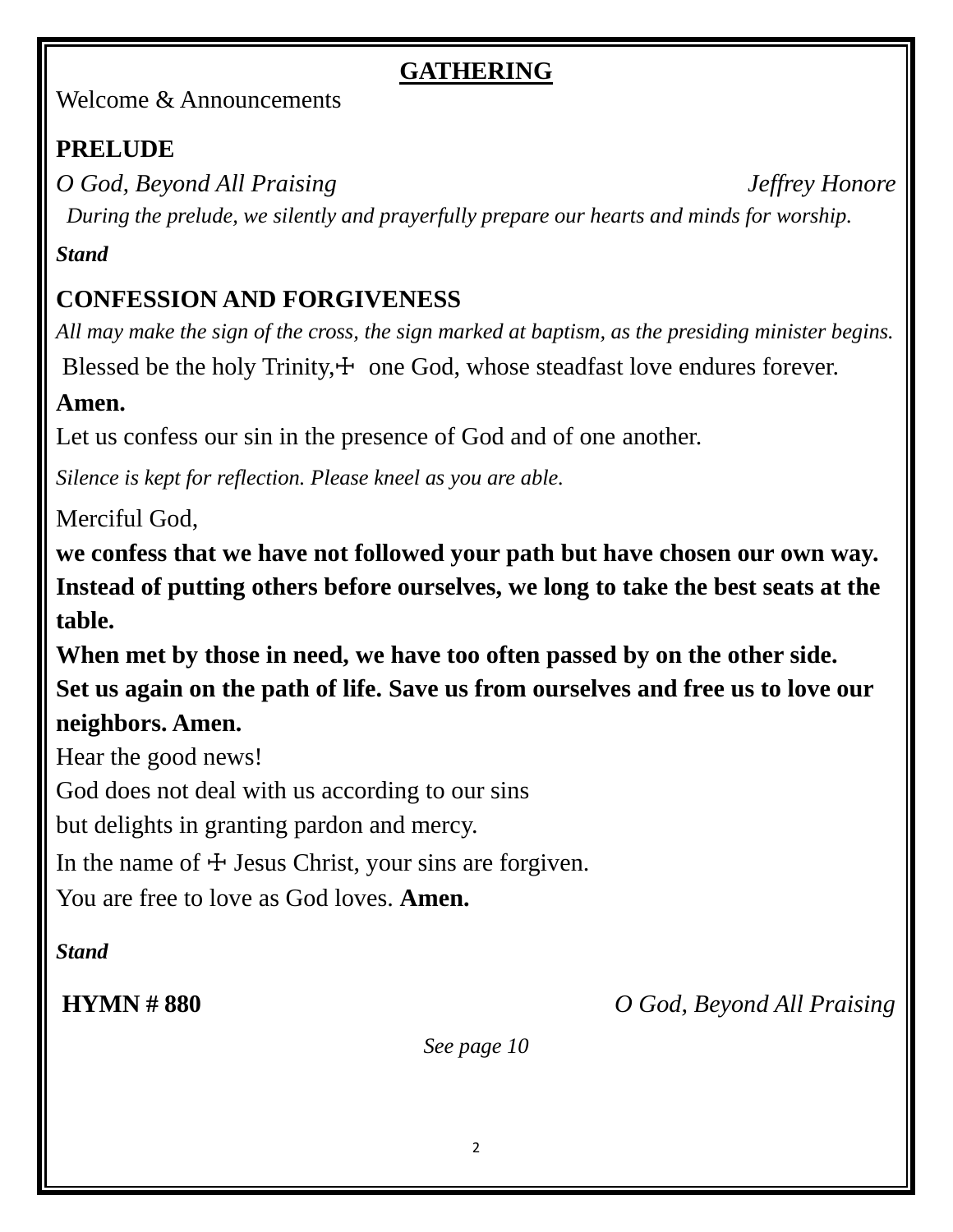## **GATHERING**

Welcome & Announcements

# **PRELUDE**

*O God, Beyond All Praising Jeffrey Honore During the prelude, we silently and prayerfully prepare our hearts and minds for worship.*

#### *Stand*

# **CONFESSION AND FORGIVENESS**

*All may make the sign of the cross, the sign marked at baptism, as the presiding minister begins.*

Blessed be the holy Trinity,  $\pm$  one God, whose steadfast love endures forever.

## **Amen.**

Let us confess our sin in the presence of God and of one another.

*Silence is kept for reflection. Please kneel as you are able.*

Merciful God,

**we confess that we have not followed your path but have chosen our own way. Instead of putting others before ourselves, we long to take the best seats at the table.**

**When met by those in need, we have too often passed by on the other side.**

**Set us again on the path of life. Save us from ourselves and free us to love our neighbors. Amen.**

Hear the good news!

God does not deal with us according to our sins

but delights in granting pardon and mercy.

In the name of  $\pm$  Jesus Christ, your sins are forgiven.

You are free to love as God loves. **Amen.**

#### *Stand*

**HYMN # 880** *O God, Beyond All Praising* 

*See page 10*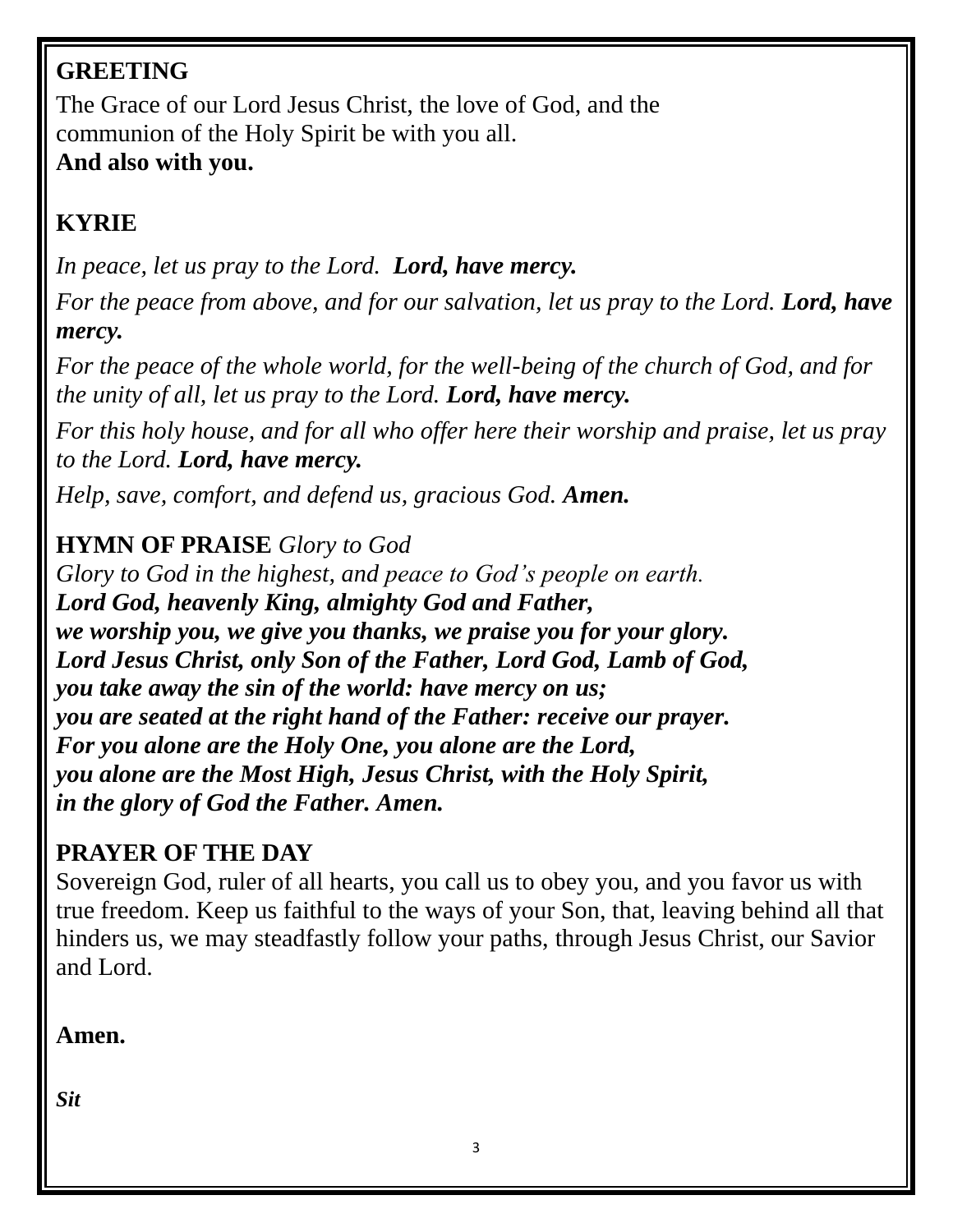# **GREETING**

The Grace of our Lord Jesus Christ, the love of God, and the communion of the Holy Spirit be with you all. **And also with you.** 

# **KYRIE**

*In peace, let us pray to the Lord. Lord, have mercy.*

*For the peace from above, and for our salvation, let us pray to the Lord. Lord, have mercy.*

*For the peace of the whole world, for the well-being of the church of God, and for the unity of all, let us pray to the Lord. Lord, have mercy.*

*For this holy house, and for all who offer here their worship and praise, let us pray to the Lord. Lord, have mercy.*

*Help, save, comfort, and defend us, gracious God. Amen.*

# **HYMN OF PRAISE** *Glory to God*

*Glory to God in the highest, and peace to God's people on earth. Lord God, heavenly King, almighty God and Father, we worship you, we give you thanks, we praise you for your glory. Lord Jesus Christ, only Son of the Father, Lord God, Lamb of God, you take away the sin of the world: have mercy on us; you are seated at the right hand of the Father: receive our prayer. For you alone are the Holy One, you alone are the Lord, you alone are the Most High, Jesus Christ, with the Holy Spirit, in the glory of God the Father. Amen.*

## **PRAYER OF THE DAY**

Sovereign God, ruler of all hearts, you call us to obey you, and you favor us with true freedom. Keep us faithful to the ways of your Son, that, leaving behind all that hinders us, we may steadfastly follow your paths, through Jesus Christ, our Savior and Lord.

#### **Amen.**

*Sit*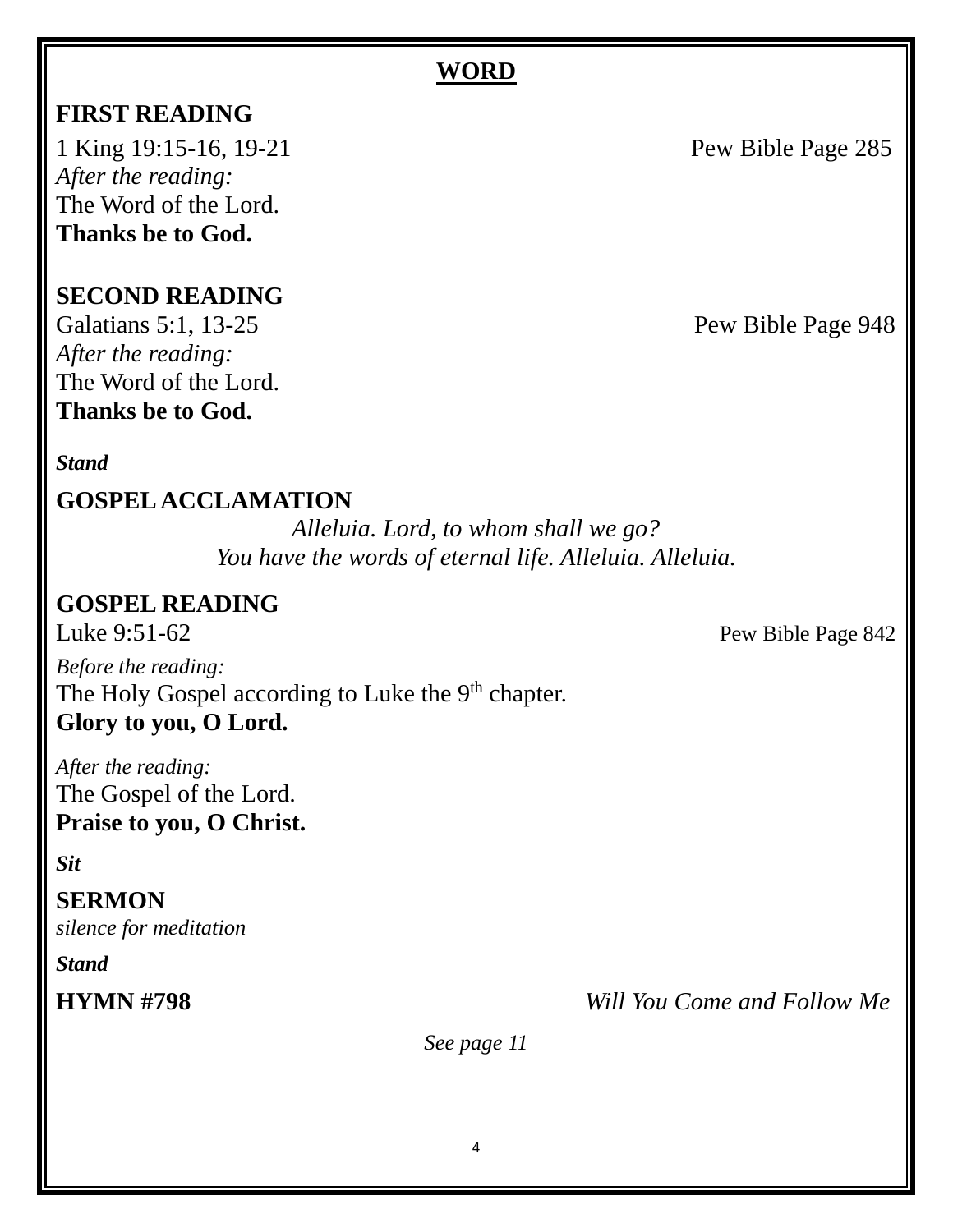#### **WORD**

## **FIRST READING**

1 King 19:15-16, 19-21 Pew Bible Page 285 *After the reading:* The Word of the Lord. **Thanks be to God.**

#### **SECOND READING**

Galatians 5:1, 13-25 Pew Bible Page 948 *After the reading:* The Word of the Lord. **Thanks be to God.**

#### *Stand*

#### **GOSPEL ACCLAMATION**

*Alleluia. Lord, to whom shall we go? You have the words of eternal life. Alleluia. Alleluia.*

#### **GOSPEL READING**

Luke 9:51-62 Pew Bible Page 842

*Before the reading:* The Holy Gospel according to Luke the 9<sup>th</sup> chapter. **Glory to you, O Lord.**

*After the reading:* The Gospel of the Lord. **Praise to you, O Christ.**

*Sit*

#### **SERMON**

*silence for meditation*

*Stand*

**HYMN #798** *Will You Come and Follow Me*

*See page 11*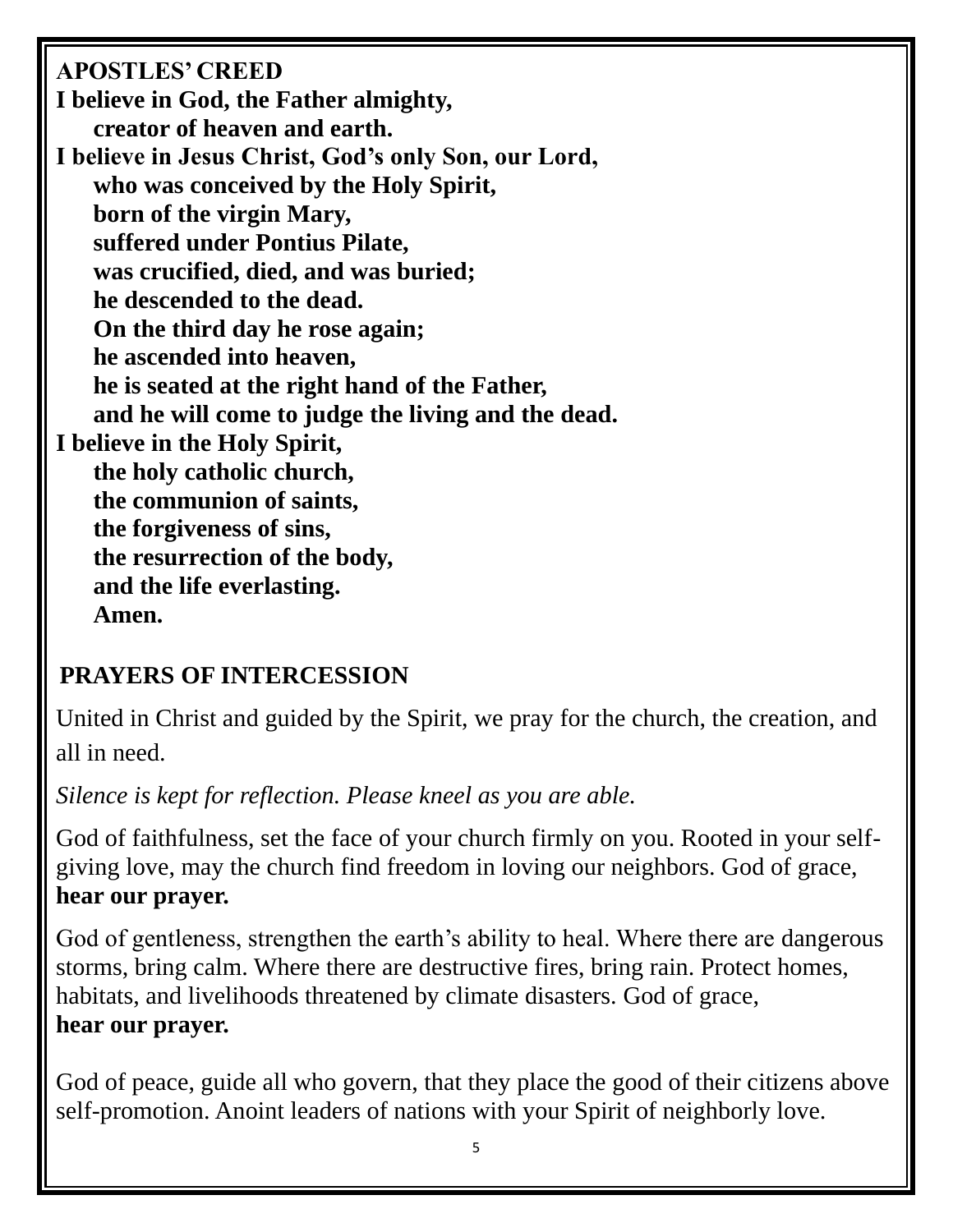**APOSTLES' CREED**

- **I believe in God, the Father almighty, creator of heaven and earth.**
- **I believe in Jesus Christ, God's only Son, our Lord, who was conceived by the Holy Spirit, born of the virgin Mary, suffered under Pontius Pilate, was crucified, died, and was buried; he descended to the dead. On the third day he rose again; he ascended into heaven, he is seated at the right hand of the Father, and he will come to judge the living and the dead. I believe in the Holy Spirit, the holy catholic church, the communion of saints, the forgiveness of sins, the resurrection of the body, and the life everlasting.**

#### **PRAYERS OF INTERCESSION**

**Amen.**

United in Christ and guided by the Spirit, we pray for the church, the creation, and all in need.

*Silence is kept for reflection. Please kneel as you are able.*

God of faithfulness, set the face of your church firmly on you. Rooted in your selfgiving love, may the church find freedom in loving our neighbors. God of grace, **hear our prayer.**

God of gentleness, strengthen the earth's ability to heal. Where there are dangerous storms, bring calm. Where there are destructive fires, bring rain. Protect homes, habitats, and livelihoods threatened by climate disasters. God of grace, **hear our prayer.**

God of peace, guide all who govern, that they place the good of their citizens above self-promotion. Anoint leaders of nations with your Spirit of neighborly love.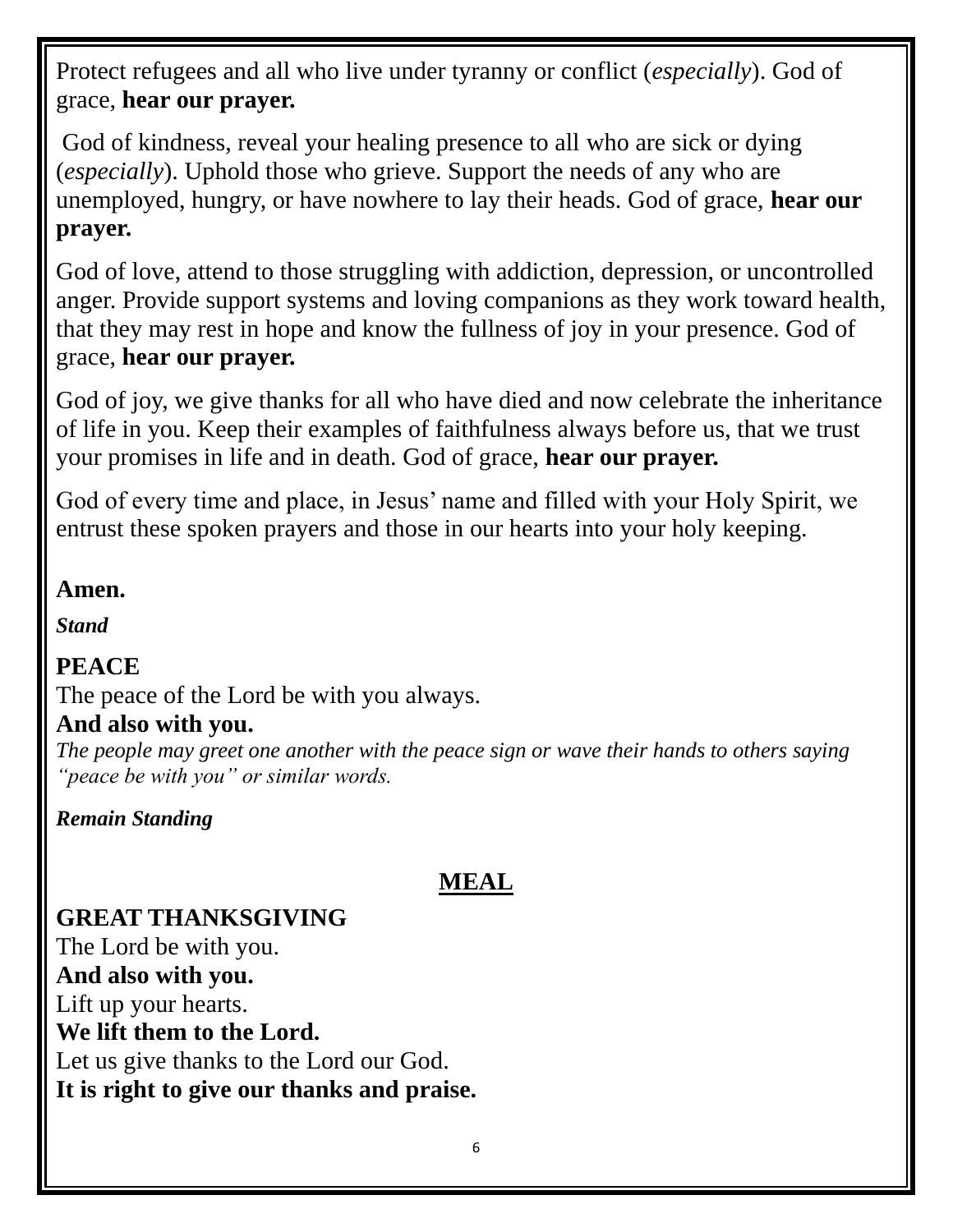Protect refugees and all who live under tyranny or conflict (*especially*). God of grace, **hear our prayer.**

God of kindness, reveal your healing presence to all who are sick or dying (*especially*). Uphold those who grieve. Support the needs of any who are unemployed, hungry, or have nowhere to lay their heads. God of grace, **hear our prayer.**

God of love, attend to those struggling with addiction, depression, or uncontrolled anger. Provide support systems and loving companions as they work toward health, that they may rest in hope and know the fullness of joy in your presence. God of grace, **hear our prayer.**

God of joy, we give thanks for all who have died and now celebrate the inheritance of life in you. Keep their examples of faithfulness always before us, that we trust your promises in life and in death. God of grace, **hear our prayer.**

God of every time and place, in Jesus' name and filled with your Holy Spirit, we entrust these spoken prayers and those in our hearts into your holy keeping.

#### **Amen.**

*Stand*

# **PEACE**

The peace of the Lord be with you always.

## **And also with you.**

*The people may greet one another with the peace sign or wave their hands to others saying "peace be with you" or similar words.*

*Remain Standing*

# **MEAL**

#### **GREAT THANKSGIVING** The Lord be with you. **And also with you.** Lift up your hearts. **We lift them to the Lord.** Let us give thanks to the Lord our God. **It is right to give our thanks and praise.**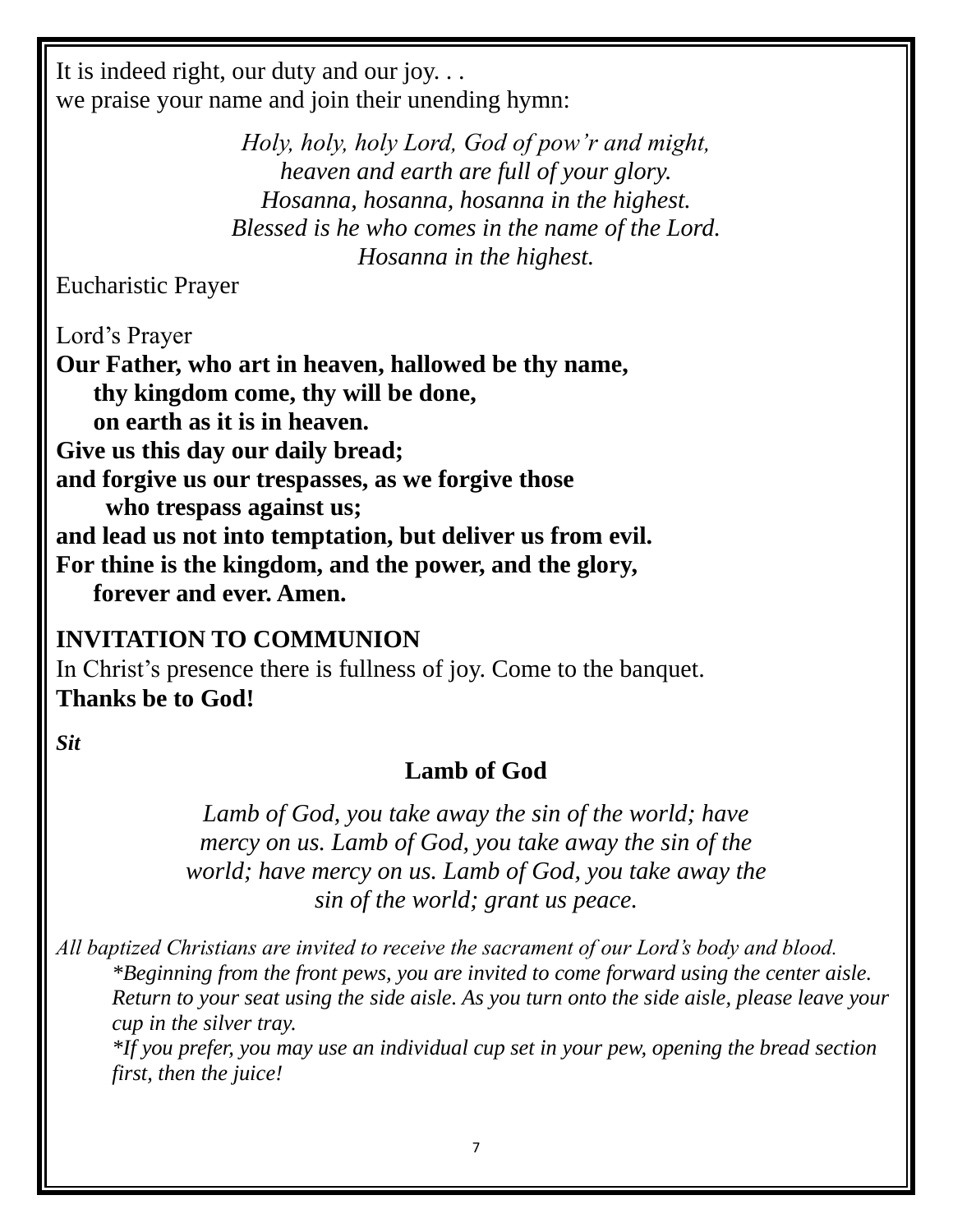It is indeed right, our duty and our joy. . . we praise your name and join their unending hymn:

> *Holy, holy, holy Lord, God of pow'r and might, heaven and earth are full of your glory. Hosanna, hosanna, hosanna in the highest. Blessed is he who comes in the name of the Lord. Hosanna in the highest.*

Eucharistic Prayer

Lord's Prayer

**Our Father, who art in heaven, hallowed be thy name, thy kingdom come, thy will be done, on earth as it is in heaven. Give us this day our daily bread; and forgive us our trespasses, as we forgive those who trespass against us; and lead us not into temptation, but deliver us from evil. For thine is the kingdom, and the power, and the glory, forever and ever. Amen.**

#### **INVITATION TO COMMUNION**

In Christ's presence there is fullness of joy. Come to the banquet. **Thanks be to God!**

*Sit*

#### **Lamb of God**

*Lamb of God, you take away the sin of the world; have mercy on us. Lamb of God, you take away the sin of the world; have mercy on us. Lamb of God, you take away the sin of the world; grant us peace.*

*All baptized Christians are invited to receive the sacrament of our Lord's body and blood. \*Beginning from the front pews, you are invited to come forward using the center aisle. Return to your seat using the side aisle. As you turn onto the side aisle, please leave your cup in the silver tray.*

*\*If you prefer, you may use an individual cup set in your pew, opening the bread section first, then the juice!*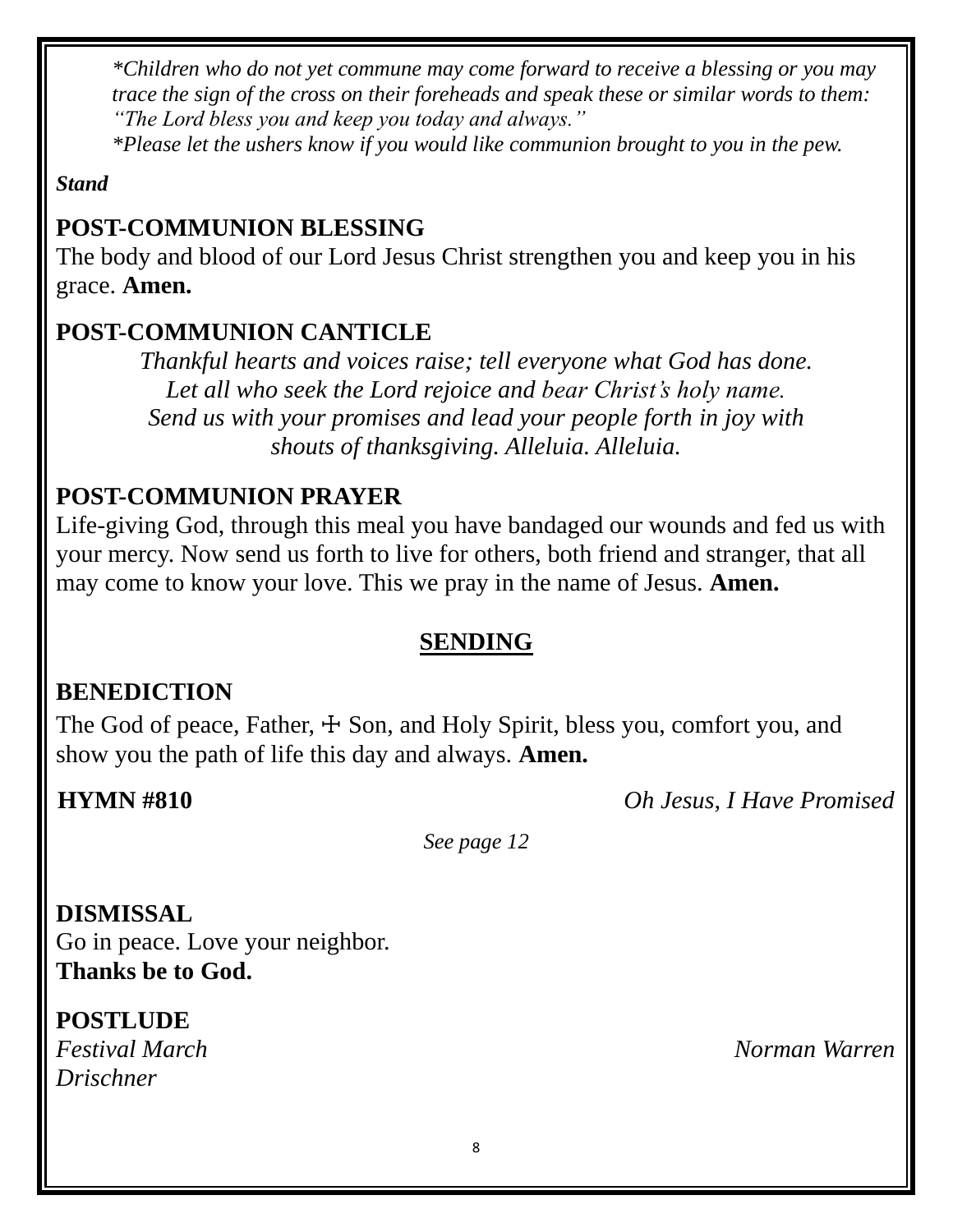*\*Children who do not yet commune may come forward to receive a blessing or you may trace the sign of the cross on their foreheads and speak these or similar words to them: "The Lord bless you and keep you today and always."*

*\*Please let the ushers know if you would like communion brought to you in the pew.*

#### *Stand*

#### **POST-COMMUNION BLESSING**

The body and blood of our Lord Jesus Christ strengthen you and keep you in his grace. **Amen.**

#### **POST-COMMUNION CANTICLE**

*Thankful hearts and voices raise; tell everyone what God has done. Let all who seek the Lord rejoice and bear Christ's holy name. Send us with your promises and lead your people forth in joy with shouts of thanksgiving. Alleluia. Alleluia.*

#### **POST-COMMUNION PRAYER**

Life-giving God, through this meal you have bandaged our wounds and fed us with your mercy. Now send us forth to live for others, both friend and stranger, that all may come to know your love. This we pray in the name of Jesus. **Amen.**

#### **SENDING**

#### **BENEDICTION**

The God of peace, Father,  $\pm$  Son, and Holy Spirit, bless you, comfort you, and show you the path of life this day and always. **Amen.**

**HYMN #810** *Oh Jesus, I Have Promised*

*See page 12*

**DISMISSAL** Go in peace. Love your neighbor. **Thanks be to God.**

**POSTLUDE** *Drischner*

*Festival March Norman Warren*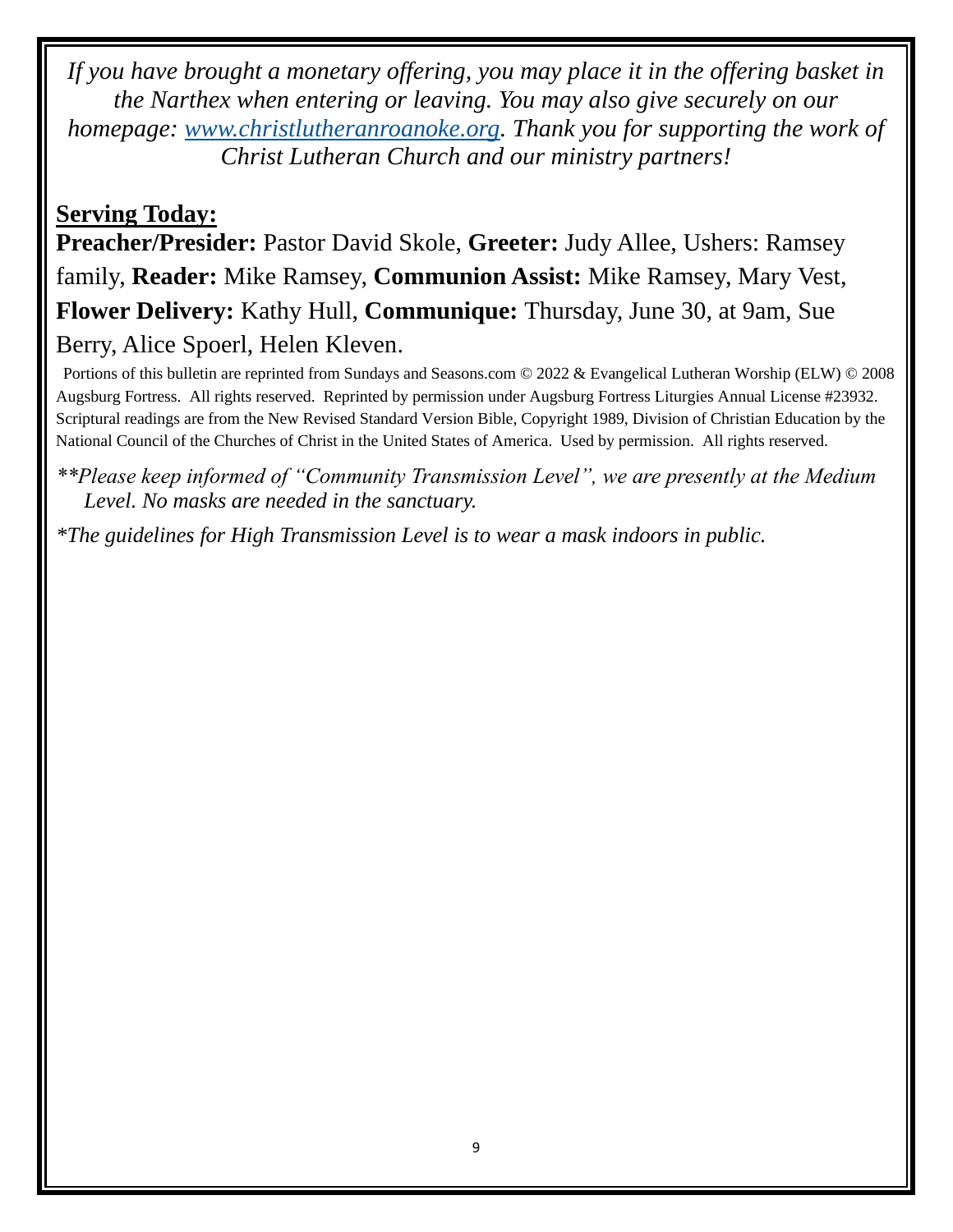*If you have brought a monetary offering, you may place it in the offering basket in the Narthex when entering or leaving. You may also give securely on our homepage: [www.christlutheranroanoke.org.](http://www.christlutheranroanoke.org/) Thank you for supporting the work of Christ Lutheran Church and our ministry partners!*

#### **Serving Today:**

**Preacher/Presider:** Pastor David Skole, **Greeter:** Judy Allee, Ushers: Ramsey family, **Reader:** Mike Ramsey, **Communion Assist:** Mike Ramsey, Mary Vest, **Flower Delivery:** Kathy Hull, **Communique:** Thursday, June 30, at 9am, Sue Berry, Alice Spoerl, Helen Kleven.

Portions of this bulletin are reprinted from Sundays and Seasons.com © 2022 & Evangelical Lutheran Worship (ELW) © 2008 Augsburg Fortress. All rights reserved. Reprinted by permission under Augsburg Fortress Liturgies Annual License #23932. Scriptural readings are from the New Revised Standard Version Bible, Copyright 1989, Division of Christian Education by the National Council of the Churches of Christ in the United States of America. Used by permission. All rights reserved.

*\*\*Please keep informed of "Community Transmission Level", we are presently at the Medium Level. No masks are needed in the sanctuary.* 

*\*The guidelines for High Transmission Level is to wear a mask indoors in public.*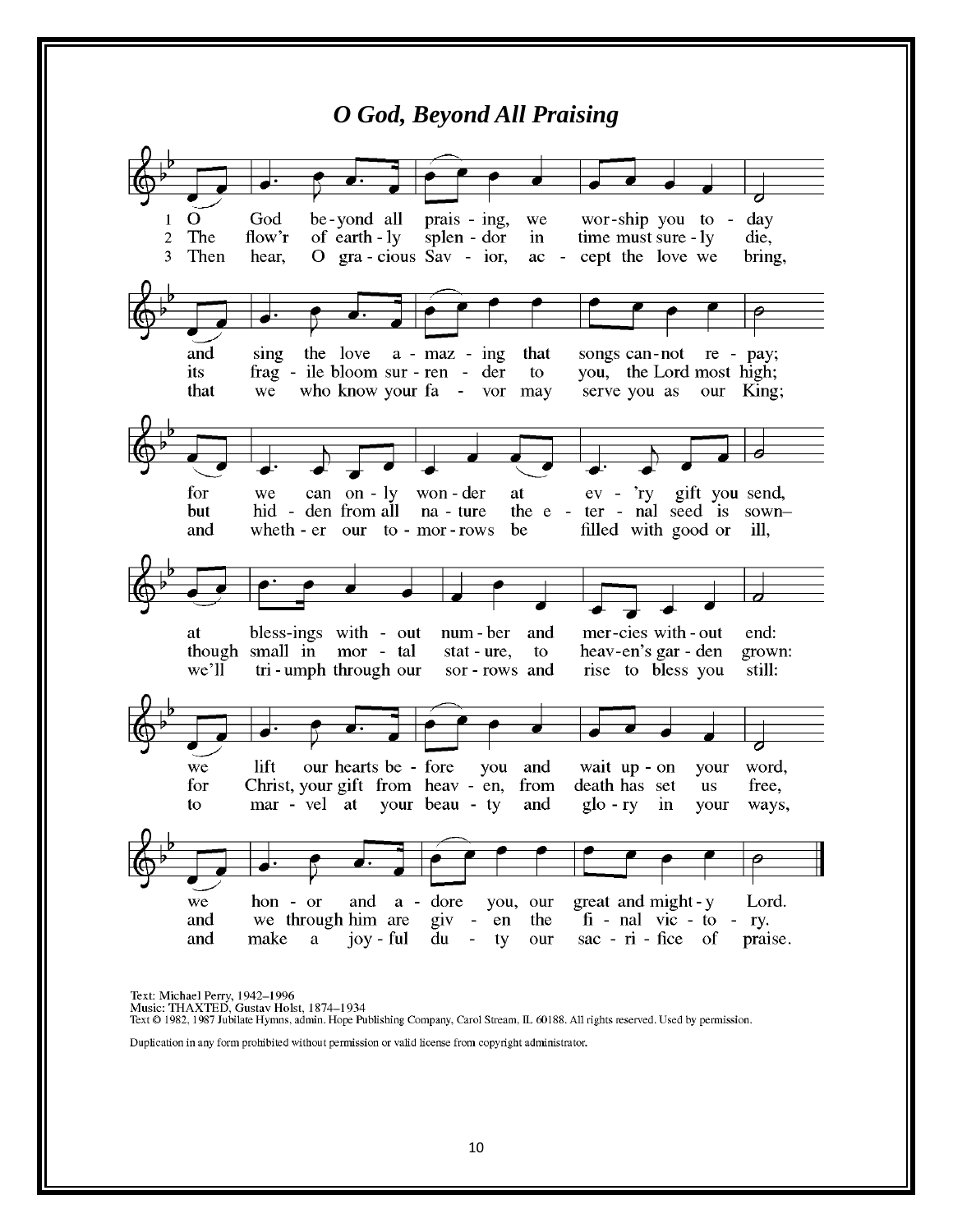

Duplication in any form prohibited without permission or valid license from copyright administrator.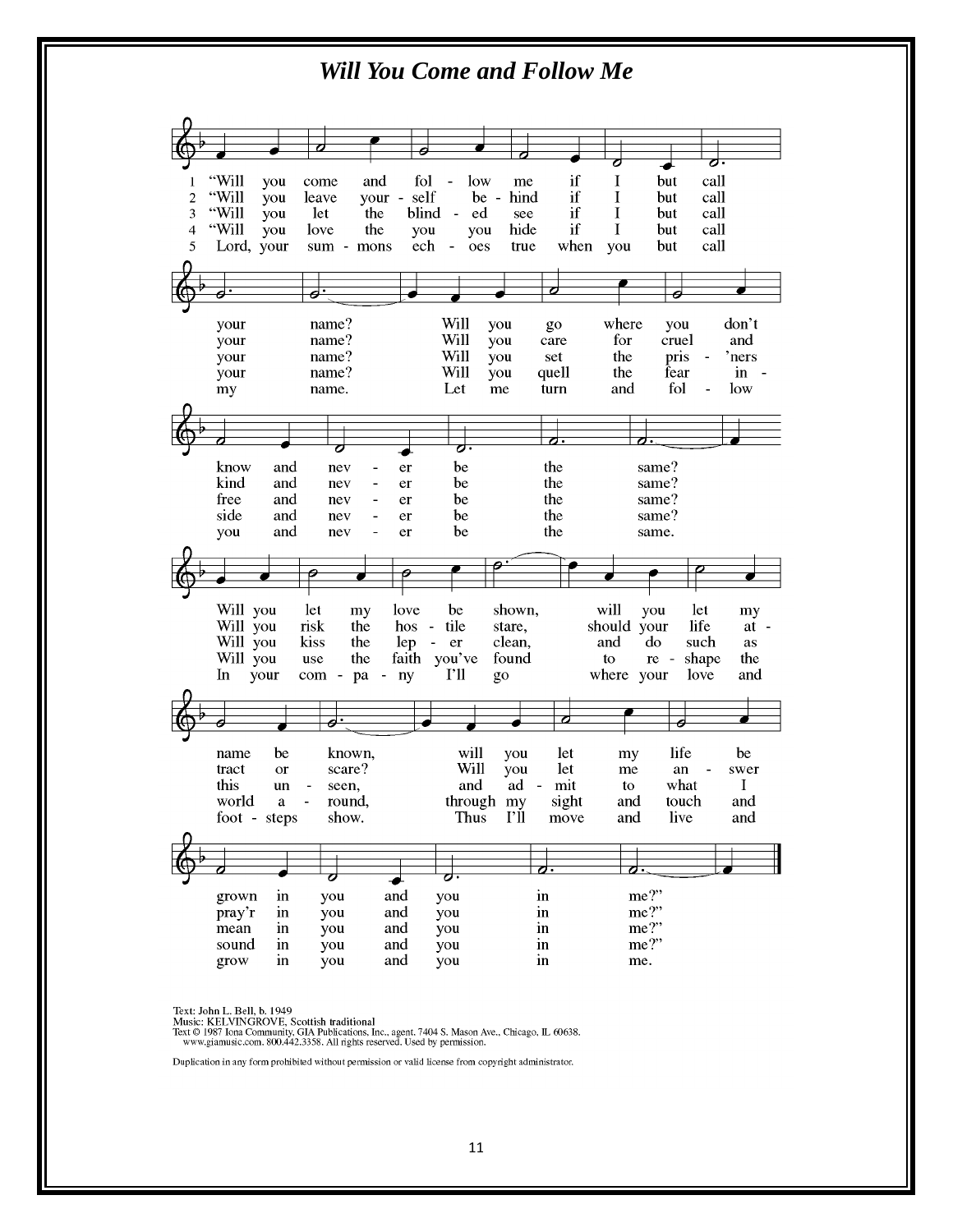#### *Will You Come and Follow Me*

|                         |               |          |                       |         | 0                               |                                    |                        |                |             |               |        |
|-------------------------|---------------|----------|-----------------------|---------|---------------------------------|------------------------------------|------------------------|----------------|-------------|---------------|--------|
|                         |               |          |                       |         |                                 |                                    |                        |                | O           |               | o.     |
| 1                       | "Will         | you      | come                  | and     | fol                             | low                                | me                     | if             | I           | but           | call   |
| $\overline{\mathbf{c}}$ | "Will         | you      | leave                 | your    | self<br>$\Box$                  |                                    | hind<br>$be -$         | if             | I           | but           | call   |
| $\overline{\mathbf{3}}$ | "Will         | you      | let                   | the     | blind                           | ed<br>$\overline{\phantom{0}}$     | see                    | if             | $\mathbf I$ | but           | call   |
| $\overline{4}$          | "Will         | you      | love                  | the     | you                             | you                                | hide                   | if             | I           | but           | call   |
| 5                       | Lord, your    |          | sum - mons            |         | ech                             | oes<br>$\frac{1}{2}$               | true                   | when           | you         | but           | call   |
|                         |               |          |                       |         |                                 |                                    |                        |                |             |               |        |
|                         |               |          |                       |         |                                 |                                    |                        |                |             |               |        |
|                         |               |          | d                     |         |                                 |                                    |                        | ℴ              |             | 0             |        |
|                         |               |          |                       |         |                                 |                                    |                        |                |             |               |        |
|                         | your          |          | name?                 |         |                                 | Will                               | you                    | go             | where       | you           | don't  |
|                         | your          |          | name?                 |         |                                 | Will                               | you                    | care           | for         | cruel         | and    |
|                         | your          |          | name?                 |         |                                 | Will                               | you                    | set            | the         | pris          | 'ners  |
|                         | your          |          | name?                 |         |                                 | Will                               | you                    | quell          | the         | fear          | in     |
|                         | my            |          | name.                 |         |                                 | Let                                | me                     | turn           | and         | fol           | low    |
|                         |               |          |                       |         |                                 |                                    |                        |                |             |               |        |
|                         |               |          |                       |         |                                 |                                    |                        |                |             |               |        |
|                         |               |          | O                     |         |                                 | σ.                                 |                        | ♂.             |             |               |        |
|                         | know          | and      | nev                   |         | er                              | be                                 |                        | the            |             | same?         |        |
|                         | kind          | and      | nev                   |         | er                              | be                                 |                        | the            |             | same?         |        |
|                         | free          | and      | nev                   |         | er                              | be                                 |                        | the            |             | same?         |        |
|                         | side          | and      | nev                   | ä,      | er                              | be                                 |                        | the            |             | same?         |        |
|                         | you           | and      | nev                   |         | er                              | be                                 |                        | the            |             | same.         |        |
|                         |               |          |                       |         |                                 |                                    |                        |                |             |               |        |
|                         |               |          |                       |         |                                 |                                    |                        |                |             |               |        |
|                         |               |          |                       |         |                                 |                                    |                        |                |             |               |        |
|                         |               |          |                       |         |                                 |                                    |                        |                |             |               |        |
|                         |               |          |                       |         |                                 |                                    |                        |                |             |               |        |
|                         | Will you      |          | let                   | my      | love                            | be                                 | shown,                 |                | will        | let<br>you    | my     |
|                         | Will you      |          | risk                  | the     | hos<br>$\overline{\phantom{a}}$ | tile                               | stare,                 |                | should your | life          | $at -$ |
|                         | Will you      |          | kiss                  | the     | lep                             | er<br>$\qquad \qquad \blacksquare$ | clean,                 |                | and         | do<br>such    | as     |
|                         | Will you      |          | use                   | the     | faith                           | you've                             | found                  |                | to          | shape<br>re - | the    |
|                         | In            | your     | com<br>$\blacksquare$ | pa<br>- | ny                              | I'll                               | go                     |                | where your  | love          | and    |
|                         |               |          |                       |         |                                 |                                    |                        |                |             |               |        |
|                         |               |          | ø                     |         |                                 |                                    |                        | 0              |             | ø             |        |
|                         |               |          |                       |         |                                 |                                    |                        |                |             |               |        |
|                         | name          | be       |                       | known,  |                                 | will                               | you                    | let            | my          | life          | be     |
|                         | tract         | or       | scare?                |         |                                 | Will                               | you                    | let            | me          | an            | swer   |
|                         | this          | un       | seen,                 |         |                                 | and                                | ad                     | mit            | to          | what          | I      |
|                         | world         | a        | round,                |         |                                 |                                    | through my             | sight          | and         | touch         | and    |
|                         | foot - steps  |          | show.                 |         |                                 | <b>Thus</b>                        | $\Gamma$ <sup>11</sup> | move           | and         | live          | and    |
|                         |               |          |                       |         |                                 |                                    |                        |                |             |               |        |
|                         |               |          |                       |         |                                 |                                    |                        |                |             |               |        |
|                         |               |          | ರ                     |         |                                 | o.                                 |                        | $\sigma \cdot$ |             |               |        |
|                         |               |          |                       |         |                                 |                                    |                        |                |             |               |        |
|                         | grown         | in       | you                   |         | and                             | you                                |                        | in             | me?"        |               |        |
|                         | pray'r        | in       | you                   |         | and                             | you                                |                        | in             | me?"        |               |        |
|                         | mean          | in       | you                   |         | and                             | you                                |                        | in             | me?"        |               |        |
|                         | sound<br>grow | in<br>in | you<br>you            |         | and<br>and                      | you<br>you                         |                        | in<br>in       | me?"<br>me. |               |        |

Text: John L. Bell, b. 1949<br>Music: KELVINGROVE, Scottish traditional<br>Text © 1987 Iona Community, GIA Publications, Inc., agent. 7404 S. Mason Ave., Chicago, IL 60638.<br>www.giamusic.com. 800.442.3358. All rights reserved. Us

Duplication in any form prohibited without permission or valid license from copyright administrator.